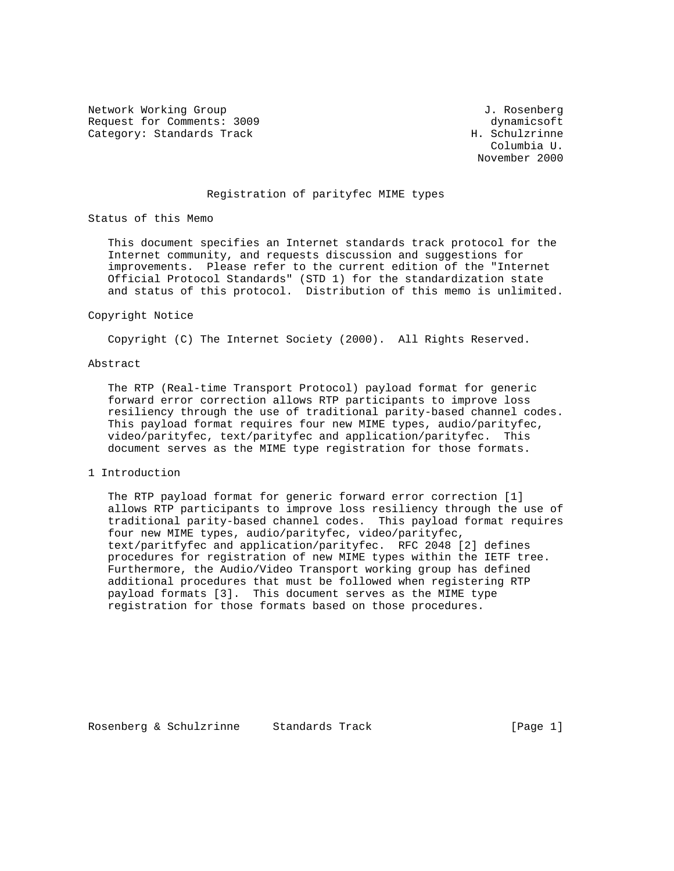Network Working Group and Society and Society and Society and Society and Society and Society and Society and S Request for Comments: 3009 dynamicsoft Category: Standards Track H. Schulzrinne

 Columbia U. November 2000

# Registration of parityfec MIME types

Status of this Memo

 This document specifies an Internet standards track protocol for the Internet community, and requests discussion and suggestions for improvements. Please refer to the current edition of the "Internet Official Protocol Standards" (STD 1) for the standardization state and status of this protocol. Distribution of this memo is unlimited.

#### Copyright Notice

Copyright (C) The Internet Society (2000). All Rights Reserved.

#### Abstract

 The RTP (Real-time Transport Protocol) payload format for generic forward error correction allows RTP participants to improve loss resiliency through the use of traditional parity-based channel codes. This payload format requires four new MIME types, audio/parityfec, video/parityfec, text/parityfec and application/parityfec. This document serves as the MIME type registration for those formats.

## 1 Introduction

 The RTP payload format for generic forward error correction [1] allows RTP participants to improve loss resiliency through the use of traditional parity-based channel codes. This payload format requires four new MIME types, audio/parityfec, video/parityfec, text/paritfyfec and application/parityfec. RFC 2048 [2] defines procedures for registration of new MIME types within the IETF tree. Furthermore, the Audio/Video Transport working group has defined additional procedures that must be followed when registering RTP payload formats [3]. This document serves as the MIME type registration for those formats based on those procedures.

Rosenberg & Schulzrinne Standards Track [Page 1]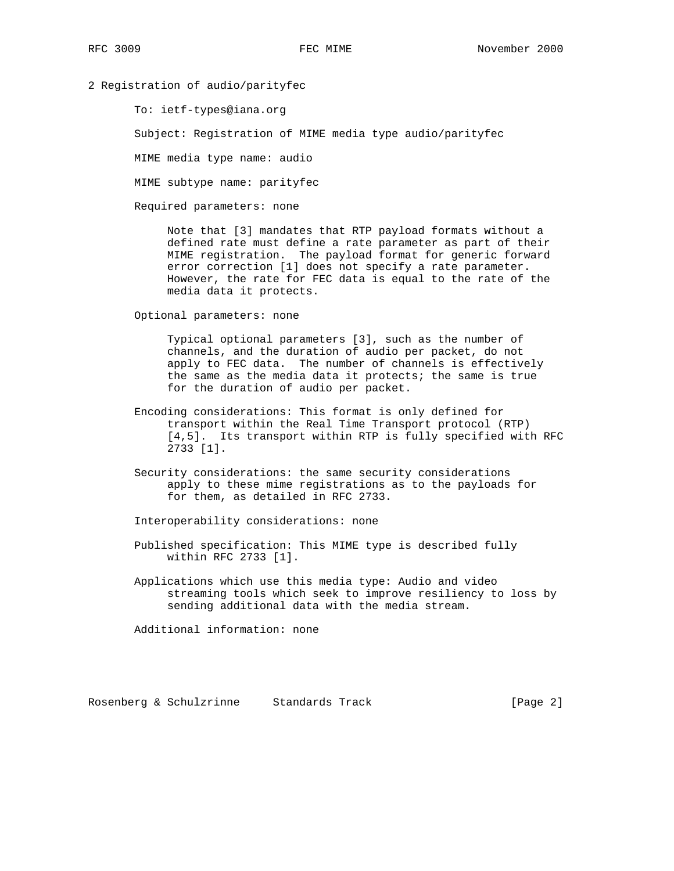## 2 Registration of audio/parityfec

To: ietf-types@iana.org

Subject: Registration of MIME media type audio/parityfec

MIME media type name: audio

MIME subtype name: parityfec

Required parameters: none

 Note that [3] mandates that RTP payload formats without a defined rate must define a rate parameter as part of their MIME registration. The payload format for generic forward error correction [1] does not specify a rate parameter. However, the rate for FEC data is equal to the rate of the media data it protects.

Optional parameters: none

 Typical optional parameters [3], such as the number of channels, and the duration of audio per packet, do not apply to FEC data. The number of channels is effectively the same as the media data it protects; the same is true for the duration of audio per packet.

- Encoding considerations: This format is only defined for transport within the Real Time Transport protocol (RTP) [4,5]. Its transport within RTP is fully specified with RFC 2733 [1].
- Security considerations: the same security considerations apply to these mime registrations as to the payloads for for them, as detailed in RFC 2733.

Interoperability considerations: none

- Published specification: This MIME type is described fully within RFC 2733 [1].
- Applications which use this media type: Audio and video streaming tools which seek to improve resiliency to loss by sending additional data with the media stream.

Additional information: none

Rosenberg & Schulzrinne Standards Track [Page 2]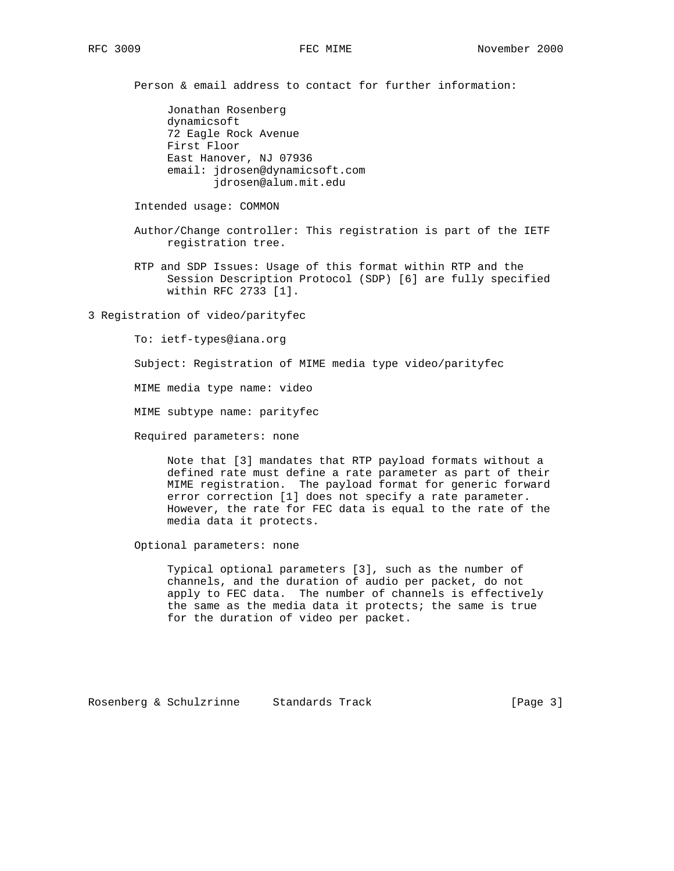Person & email address to contact for further information:

 Jonathan Rosenberg dynamicsoft 72 Eagle Rock Avenue First Floor East Hanover, NJ 07936 email: jdrosen@dynamicsoft.com jdrosen@alum.mit.edu

Intended usage: COMMON

- Author/Change controller: This registration is part of the IETF registration tree.
- RTP and SDP Issues: Usage of this format within RTP and the Session Description Protocol (SDP) [6] are fully specified within RFC 2733 [1].

3 Registration of video/parityfec

To: ietf-types@iana.org

Subject: Registration of MIME media type video/parityfec

MIME media type name: video

MIME subtype name: parityfec

Required parameters: none

 Note that [3] mandates that RTP payload formats without a defined rate must define a rate parameter as part of their MIME registration. The payload format for generic forward error correction [1] does not specify a rate parameter. However, the rate for FEC data is equal to the rate of the media data it protects.

Optional parameters: none

 Typical optional parameters [3], such as the number of channels, and the duration of audio per packet, do not apply to FEC data. The number of channels is effectively the same as the media data it protects; the same is true for the duration of video per packet.

Rosenberg & Schulzrinne Standards Track [Page 3]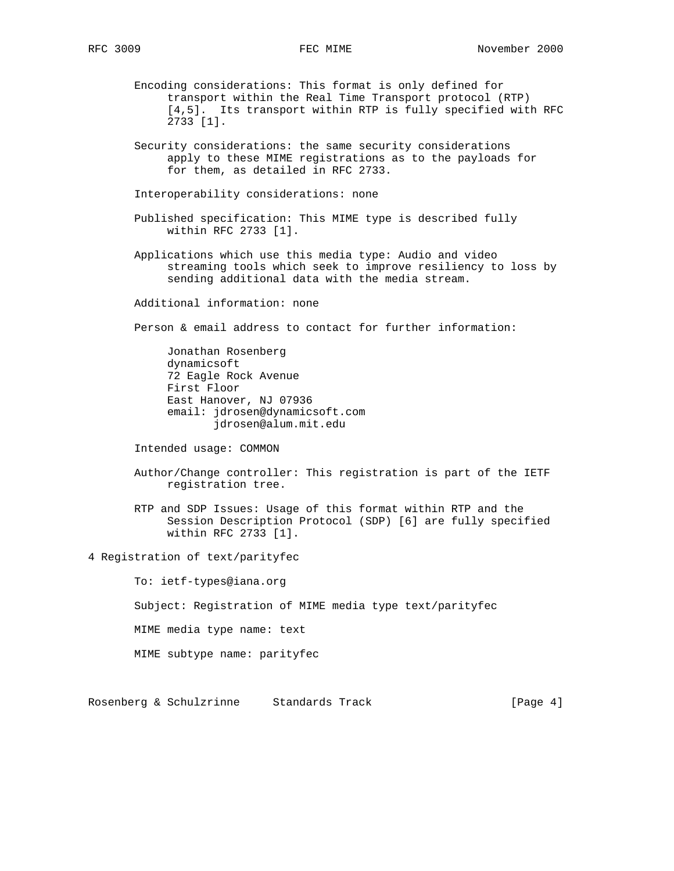- Encoding considerations: This format is only defined for transport within the Real Time Transport protocol (RTP) [4,5]. Its transport within RTP is fully specified with RFC 2733 [1].
- Security considerations: the same security considerations apply to these MIME registrations as to the payloads for for them, as detailed in RFC 2733.

Interoperability considerations: none

- Published specification: This MIME type is described fully within RFC 2733 [1].
- Applications which use this media type: Audio and video streaming tools which seek to improve resiliency to loss by sending additional data with the media stream.

Additional information: none

Person & email address to contact for further information:

 Jonathan Rosenberg dynamicsoft 72 Eagle Rock Avenue First Floor East Hanover, NJ 07936 email: jdrosen@dynamicsoft.com jdrosen@alum.mit.edu

Intended usage: COMMON

- Author/Change controller: This registration is part of the IETF registration tree.
- RTP and SDP Issues: Usage of this format within RTP and the Session Description Protocol (SDP) [6] are fully specified within RFC 2733 [1].

4 Registration of text/parityfec

 To: ietf-types@iana.org Subject: Registration of MIME media type text/parityfec MIME media type name: text MIME subtype name: parityfec

Rosenberg & Schulzrinne Standards Track [Page 4]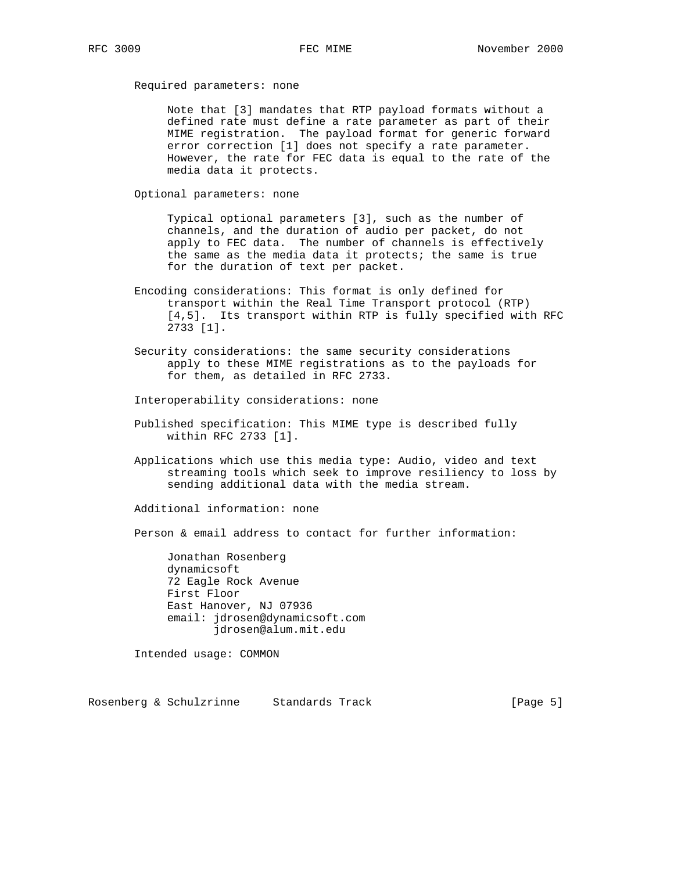Required parameters: none

 Note that [3] mandates that RTP payload formats without a defined rate must define a rate parameter as part of their MIME registration. The payload format for generic forward error correction [1] does not specify a rate parameter. However, the rate for FEC data is equal to the rate of the media data it protects.

Optional parameters: none

 Typical optional parameters [3], such as the number of channels, and the duration of audio per packet, do not apply to FEC data. The number of channels is effectively the same as the media data it protects; the same is true for the duration of text per packet.

- Encoding considerations: This format is only defined for transport within the Real Time Transport protocol (RTP) [4,5]. Its transport within RTP is fully specified with RFC 2733 [1].
- Security considerations: the same security considerations apply to these MIME registrations as to the payloads for for them, as detailed in RFC 2733.

Interoperability considerations: none

- Published specification: This MIME type is described fully within RFC 2733 [1].
- Applications which use this media type: Audio, video and text streaming tools which seek to improve resiliency to loss by sending additional data with the media stream.

Additional information: none

Person & email address to contact for further information:

 Jonathan Rosenberg dynamicsoft 72 Eagle Rock Avenue First Floor East Hanover, NJ 07936 email: jdrosen@dynamicsoft.com jdrosen@alum.mit.edu

Intended usage: COMMON

Rosenberg & Schulzrinne Standards Track [Page 5]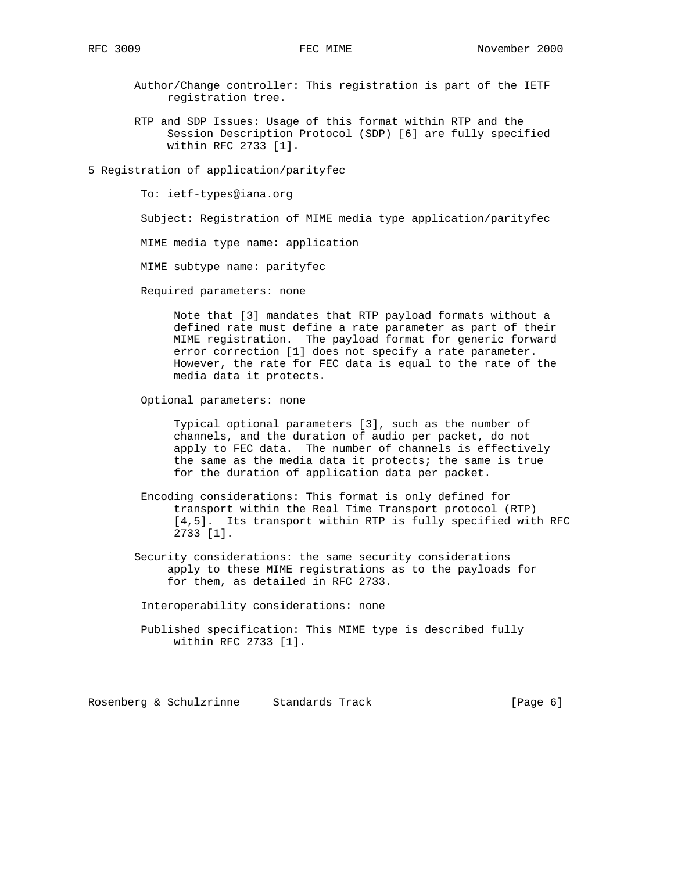- Author/Change controller: This registration is part of the IETF registration tree.
- RTP and SDP Issues: Usage of this format within RTP and the Session Description Protocol (SDP) [6] are fully specified within RFC 2733 [1].
- 5 Registration of application/parityfec

To: ietf-types@iana.org

Subject: Registration of MIME media type application/parityfec

MIME media type name: application

MIME subtype name: parityfec

Required parameters: none

 Note that [3] mandates that RTP payload formats without a defined rate must define a rate parameter as part of their MIME registration. The payload format for generic forward error correction [1] does not specify a rate parameter. However, the rate for FEC data is equal to the rate of the media data it protects.

Optional parameters: none

 Typical optional parameters [3], such as the number of channels, and the duration of audio per packet, do not apply to FEC data. The number of channels is effectively the same as the media data it protects; the same is true for the duration of application data per packet.

- Encoding considerations: This format is only defined for transport within the Real Time Transport protocol (RTP) [4,5]. Its transport within RTP is fully specified with RFC 2733 [1].
- Security considerations: the same security considerations apply to these MIME registrations as to the payloads for for them, as detailed in RFC 2733.

Interoperability considerations: none

 Published specification: This MIME type is described fully within RFC 2733 [1].

Rosenberg & Schulzrinne Standards Track (Page 6)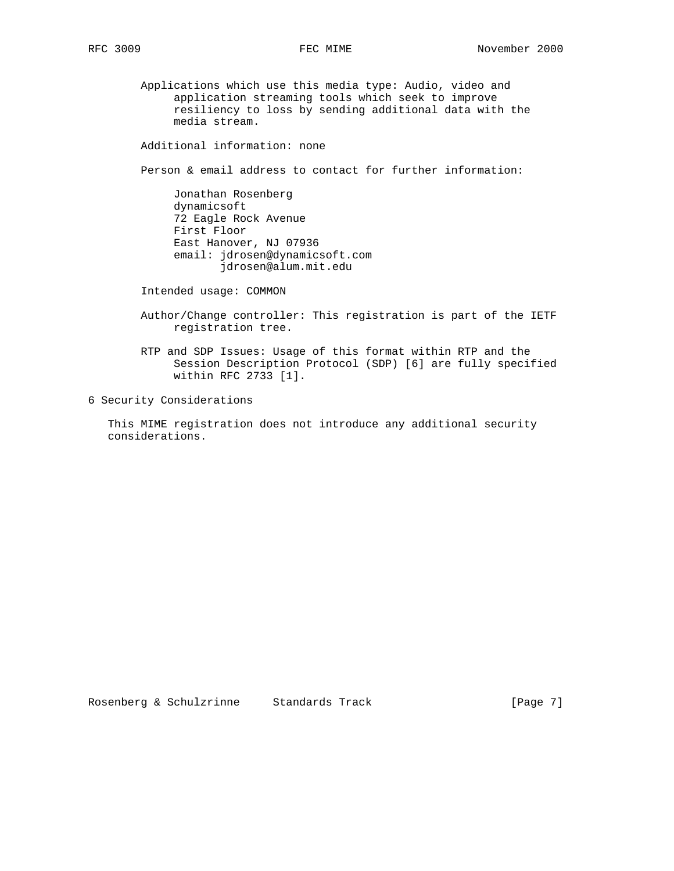Applications which use this media type: Audio, video and application streaming tools which seek to improve resiliency to loss by sending additional data with the media stream.

Additional information: none

Person & email address to contact for further information:

 Jonathan Rosenberg dynamicsoft 72 Eagle Rock Avenue First Floor East Hanover, NJ 07936 email: jdrosen@dynamicsoft.com jdrosen@alum.mit.edu

Intended usage: COMMON

- Author/Change controller: This registration is part of the IETF registration tree.
- RTP and SDP Issues: Usage of this format within RTP and the Session Description Protocol (SDP) [6] are fully specified within RFC 2733 [1].

6 Security Considerations

 This MIME registration does not introduce any additional security considerations.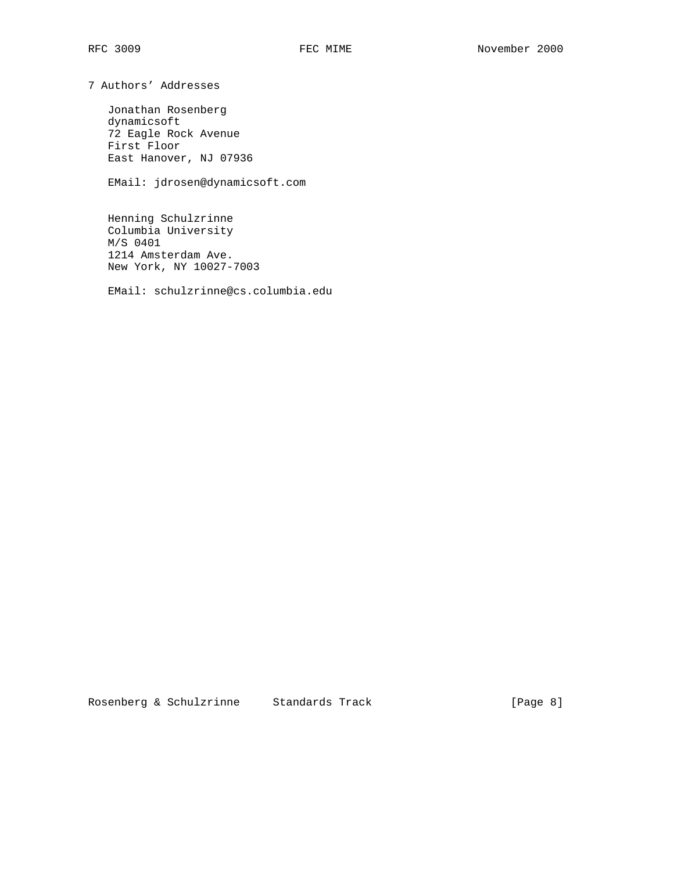7 Authors' Addresses

 Jonathan Rosenberg dynamicsoft 72 Eagle Rock Avenue First Floor East Hanover, NJ 07936

EMail: jdrosen@dynamicsoft.com

 Henning Schulzrinne Columbia University M/S 0401 1214 Amsterdam Ave. New York, NY 10027-7003

EMail: schulzrinne@cs.columbia.edu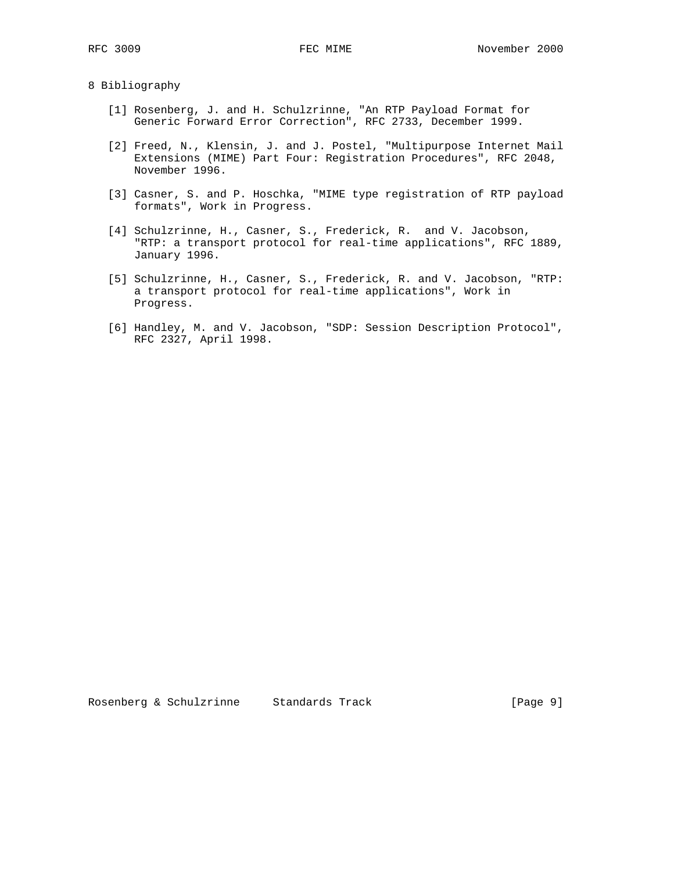#### 8 Bibliography

- [1] Rosenberg, J. and H. Schulzrinne, "An RTP Payload Format for Generic Forward Error Correction", RFC 2733, December 1999.
	- [2] Freed, N., Klensin, J. and J. Postel, "Multipurpose Internet Mail Extensions (MIME) Part Four: Registration Procedures", RFC 2048, November 1996.
	- [3] Casner, S. and P. Hoschka, "MIME type registration of RTP payload formats", Work in Progress.
	- [4] Schulzrinne, H., Casner, S., Frederick, R. and V. Jacobson, "RTP: a transport protocol for real-time applications", RFC 1889, January 1996.
	- [5] Schulzrinne, H., Casner, S., Frederick, R. and V. Jacobson, "RTP: a transport protocol for real-time applications", Work in Progress.
	- [6] Handley, M. and V. Jacobson, "SDP: Session Description Protocol", RFC 2327, April 1998.